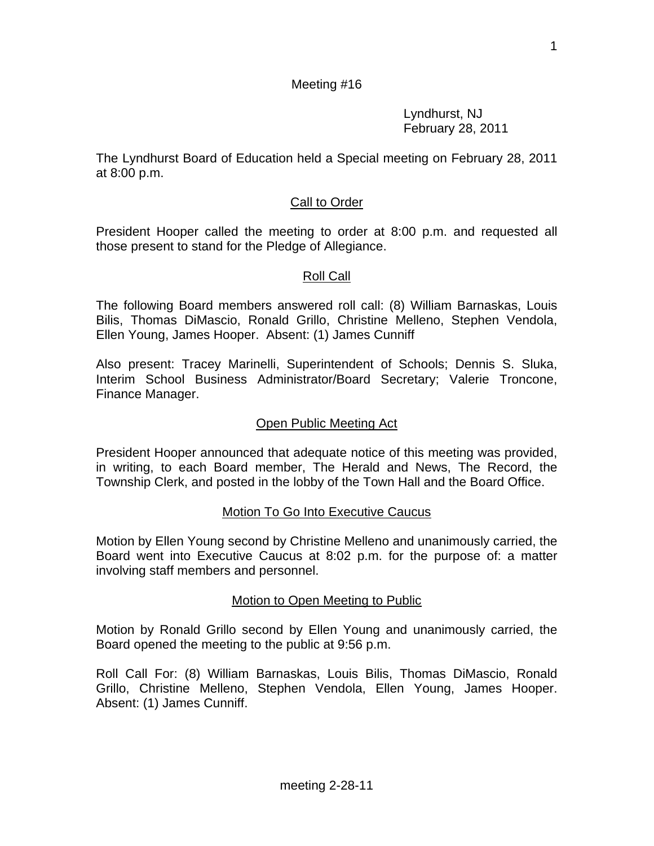Lyndhurst, NJ February 28, 2011

The Lyndhurst Board of Education held a Special meeting on February 28, 2011 at 8:00 p.m.

# Call to Order

President Hooper called the meeting to order at 8:00 p.m. and requested all those present to stand for the Pledge of Allegiance.

### Roll Call

The following Board members answered roll call: (8) William Barnaskas, Louis Bilis, Thomas DiMascio, Ronald Grillo, Christine Melleno, Stephen Vendola, Ellen Young, James Hooper. Absent: (1) James Cunniff

Also present: Tracey Marinelli, Superintendent of Schools; Dennis S. Sluka, Interim School Business Administrator/Board Secretary; Valerie Troncone, Finance Manager.

### Open Public Meeting Act

President Hooper announced that adequate notice of this meeting was provided, in writing, to each Board member, The Herald and News, The Record, the Township Clerk, and posted in the lobby of the Town Hall and the Board Office.

### Motion To Go Into Executive Caucus

Motion by Ellen Young second by Christine Melleno and unanimously carried, the Board went into Executive Caucus at 8:02 p.m. for the purpose of: a matter involving staff members and personnel.

### Motion to Open Meeting to Public

Motion by Ronald Grillo second by Ellen Young and unanimously carried, the Board opened the meeting to the public at 9:56 p.m.

Roll Call For: (8) William Barnaskas, Louis Bilis, Thomas DiMascio, Ronald Grillo, Christine Melleno, Stephen Vendola, Ellen Young, James Hooper. Absent: (1) James Cunniff.